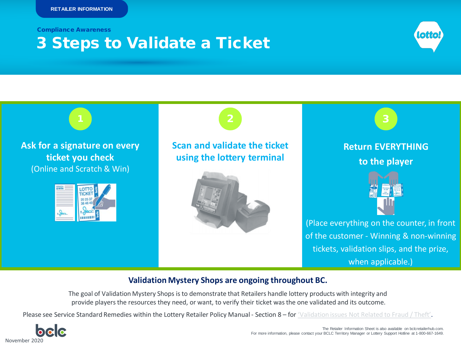Compliance Awareness

## 3 Steps to Validate a Ticket





## **Validation Mystery Shops are ongoing throughout BC.**

The goal of Validation Mystery Shops is to demonstrate that Retailers handle lottery products with integrity and provide players the resources they need, or want, to verify their ticket was the one validated and its outcome.

Please see Service Standard Remedies within the Lottery Retailer Policy Manual - Section 8 – for ['Validation issues Not Related to Fraud / Theft'.](https://www.bclcretailerhub.com/policies/retailer-policy-manual.html#Section_8__Lottery_Retailer_Agreement_Service_Standard_Remedies)